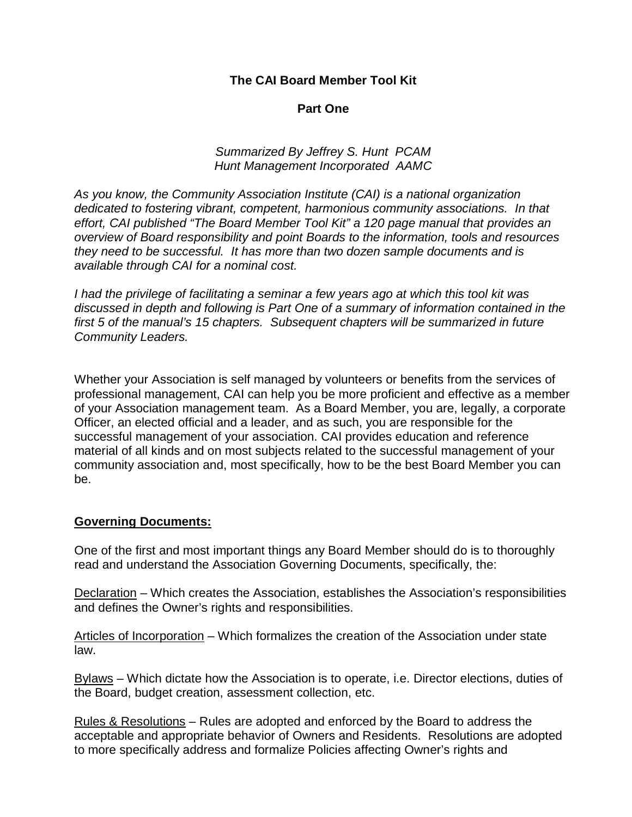**The CAI Board Member Tool Kit**

### **Part One**

*Summarized By Jeffrey S. Hunt PCAM Hunt Management Incorporated AAMC*

*As you know, the Community Association Institute (CAI) is a national organization dedicated to fostering vibrant, competent, harmonious community associations. In that effort, CAI published "The Board Member Tool Kit" a 120 page manual that provides an overview of Board responsibility and point Boards to the information, tools and resources they need to be successful. It has more than two dozen sample documents and is available through CAI for a nominal cost.*

*I had the privilege of facilitating a seminar a few years ago at which this tool kit was discussed in depth and following is Part One of a summary of information contained in the first 5 of the manual's 15 chapters. Subsequent chapters will be summarized in future Community Leaders.*

Whether your Association is self managed by volunteers or benefits from the services of professional management, CAI can help you be more proficient and effective as a member of your Association management team. As a Board Member, you are, legally, a corporate Officer, an elected official and a leader, and as such, you are responsible for the successful management of your association. CAI provides education and reference material of all kinds and on most subjects related to the successful management of your community association and, most specifically, how to be the best Board Member you can be.

#### **Governing Documents:**

One of the first and most important things any Board Member should do is to thoroughly read and understand the Association Governing Documents, specifically, the:

Declaration – Which creates the Association, establishes the Association's responsibilities and defines the Owner's rights and responsibilities.

Articles of Incorporation – Which formalizes the creation of the Association under state law.

Bylaws – Which dictate how the Association is to operate, i.e. Director elections, duties of the Board, budget creation, assessment collection, etc.

Rules & Resolutions – Rules are adopted and enforced by the Board to address the acceptable and appropriate behavior of Owners and Residents. Resolutions are adopted to more specifically address and formalize Policies affecting Owner's rights and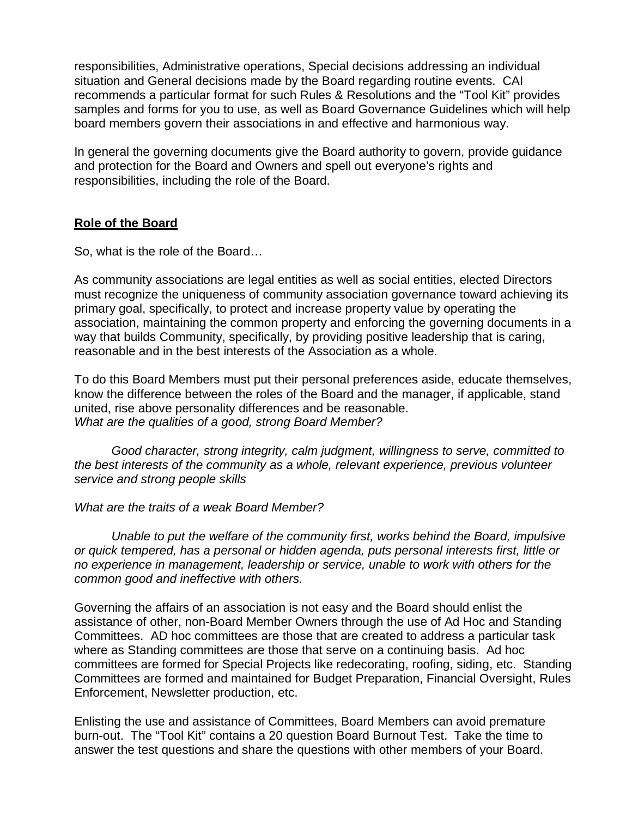responsibilities, Administrative operations, Special decisions addressing an individual situation and General decisions made by the Board regarding routine events. CAI recommends a particular format for such Rules & Resolutions and the "Tool Kit" provides samples and forms for you to use, as well as Board Governance Guidelines which will help board members govern their associations in and effective and harmonious way.

In general the governing documents give the Board authority to govern, provide guidance and protection for the Board and Owners and spell out everyone's rights and responsibilities, including the role of the Board.

#### **Role of the Board**

So, what is the role of the Board…

As community associations are legal entities as well as social entities, elected Directors must recognize the uniqueness of community association governance toward achieving its primary goal, specifically, to protect and increase property value by operating the association, maintaining the common property and enforcing the governing documents in a way that builds Community, specifically, by providing positive leadership that is caring, reasonable and in the best interests of the Association as a whole.

To do this Board Members must put their personal preferences aside, educate themselves, know the difference between the roles of the Board and the manager, if applicable, stand united, rise above personality differences and be reasonable. *What are the qualities of a good, strong Board Member?*

*Good character, strong integrity, calm judgment, willingness to serve, committed to the best interests of the community as a whole, relevant experience, previous volunteer service and strong people skills*

*What are the traits of a weak Board Member?*

*Unable to put the welfare of the community first, works behind the Board, impulsive or quick tempered, has a personal or hidden agenda, puts personal interests first, little or no experience in management, leadership or service, unable to work with others for the common good and ineffective with others.*

Governing the affairs of an association is not easy and the Board should enlist the assistance of other, non-Board Member Owners through the use of Ad Hoc and Standing Committees. AD hoc committees are those that are created to address a particular task where as Standing committees are those that serve on a continuing basis. Ad hoc committees are formed for Special Projects like redecorating, roofing, siding, etc. Standing Committees are formed and maintained for Budget Preparation, Financial Oversight, Rules Enforcement, Newsletter production, etc.

Enlisting the use and assistance of Committees, Board Members can avoid premature burn-out. The "Tool Kit" contains a 20 question Board Burnout Test. Take the time to answer the test questions and share the questions with other members of your Board.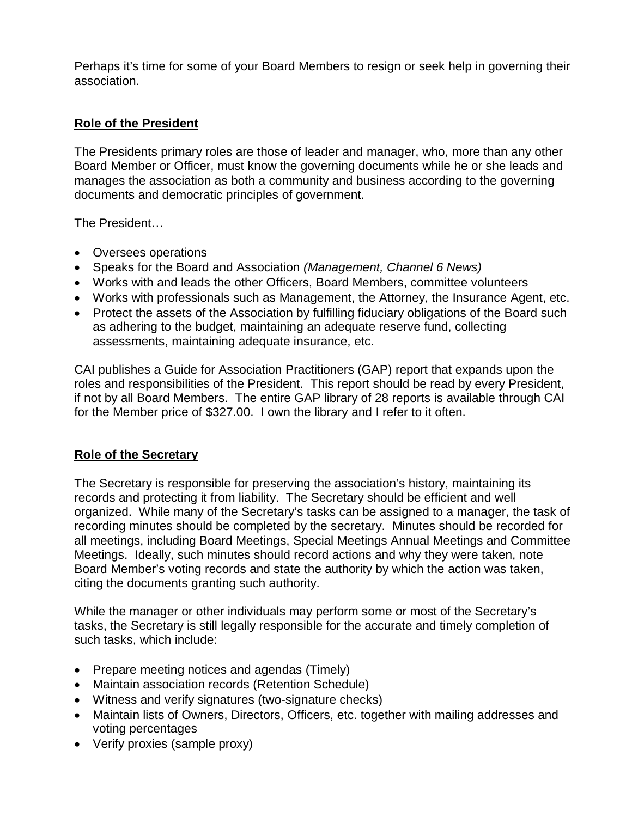Perhaps it's time for some of your Board Members to resign or seek help in governing their association.

# **Role of the President**

The Presidents primary roles are those of leader and manager, who, more than any other Board Member or Officer, must know the governing documents while he or she leads and manages the association as both a community and business according to the governing documents and democratic principles of government.

The President…

- Oversees operations
- Speaks for the Board and Association *(Management, Channel 6 News)*
- Works with and leads the other Officers, Board Members, committee volunteers
- Works with professionals such as Management, the Attorney, the Insurance Agent, etc.
- Protect the assets of the Association by fulfilling fiduciary obligations of the Board such as adhering to the budget, maintaining an adequate reserve fund, collecting assessments, maintaining adequate insurance, etc.

CAI publishes a Guide for Association Practitioners (GAP) report that expands upon the roles and responsibilities of the President. This report should be read by every President, if not by all Board Members. The entire GAP library of 28 reports is available through CAI for the Member price of \$327.00. I own the library and I refer to it often.

## **Role of the Secretary**

The Secretary is responsible for preserving the association's history, maintaining its records and protecting it from liability. The Secretary should be efficient and well organized. While many of the Secretary's tasks can be assigned to a manager, the task of recording minutes should be completed by the secretary. Minutes should be recorded for all meetings, including Board Meetings, Special Meetings Annual Meetings and Committee Meetings. Ideally, such minutes should record actions and why they were taken, note Board Member's voting records and state the authority by which the action was taken, citing the documents granting such authority.

While the manager or other individuals may perform some or most of the Secretary's tasks, the Secretary is still legally responsible for the accurate and timely completion of such tasks, which include:

- Prepare meeting notices and agendas (Timely)
- Maintain association records (Retention Schedule)
- Witness and verify signatures (two-signature checks)
- Maintain lists of Owners, Directors, Officers, etc. together with mailing addresses and voting percentages
- Verify proxies (sample proxy)